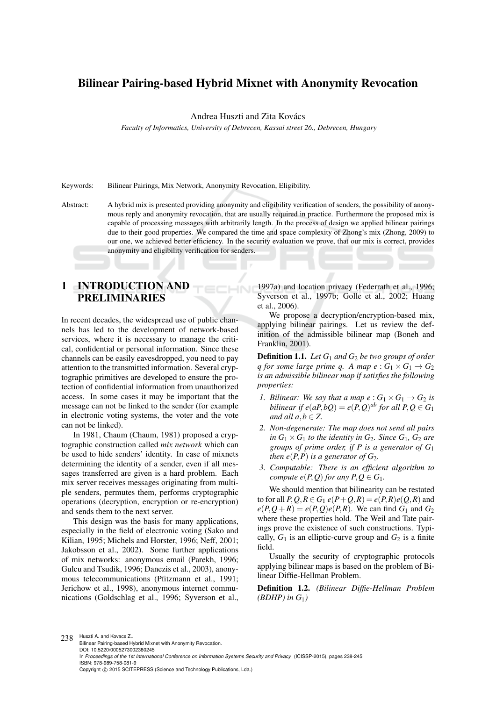# Bilinear Pairing-based Hybrid Mixnet with Anonymity Revocation

Andrea Huszti and Zita Kovács

*Faculty of Informatics, University of Debrecen, Kassai street 26., Debrecen, Hungary*

Keywords: Bilinear Pairings, Mix Network, Anonymity Revocation, Eligibility.

Abstract: A hybrid mix is presented providing anonymity and eligibility verification of senders, the possibility of anonymous reply and anonymity revocation, that are usually required in practice. Furthermore the proposed mix is capable of processing messages with arbitrarily length. In the process of design we applied bilinear pairings due to their good properties. We compared the time and space complexity of Zhong's mix (Zhong, 2009) to our one, we achieved better efficiency. In the security evaluation we prove, that our mix is correct, provides anonymity and eligibility verification for senders.

# 1 INTRODUCTION AND PRELIMINARIES

In recent decades, the widespread use of public channels has led to the development of network-based services, where it is necessary to manage the critical, confidential or personal information. Since these channels can be easily eavesdropped, you need to pay attention to the transmitted information. Several cryptographic primitives are developed to ensure the protection of confidential information from unauthorized access. In some cases it may be important that the message can not be linked to the sender (for example in electronic voting systems, the voter and the vote can not be linked).

In 1981, Chaum (Chaum, 1981) proposed a cryptographic construction called *mix network* which can be used to hide senders' identity. In case of mixnets determining the identity of a sender, even if all messages transferred are given is a hard problem. Each mix server receives messages originating from multiple senders, permutes them, performs cryptographic operations (decryption, encryption or re-encryption) and sends them to the next server.

This design was the basis for many applications, especially in the field of electronic voting (Sako and Kilian, 1995; Michels and Horster, 1996; Neff, 2001; Jakobsson et al., 2002). Some further applications of mix networks: anonymous email (Parekh, 1996; Gulcu and Tsudik, 1996; Danezis et al., 2003), anonymous telecommunications (Pfitzmann et al., 1991; Jerichow et al., 1998), anonymous internet communications (Goldschlag et al., 1996; Syverson et al.,

1997a) and location privacy (Federrath et al., 1996; Syverson et al., 1997b; Golle et al., 2002; Huang et al., 2006).

We propose a decryption/encryption-based mix, applying bilinear pairings. Let us review the definition of the admissible bilinear map (Boneh and Franklin, 2001).

Definition 1.1. *Let G*<sup>1</sup> *and G*<sup>2</sup> *be two groups of order q* for some large prime q. A map  $e: G_1 \times G_1 \rightarrow G_2$ *is an admissible bilinear map if satisfies the following properties:*

- *1. Bilinear: We say that a map*  $e: G_1 \times G_1 \rightarrow G_2$  *<i>is bilinear if*  $e(aP,bQ) = e(P,Q)^{ab}$  *for all*  $P,Q \in G_1$ *and all*  $a, b \in \mathbb{Z}$ .
- *2. Non-degenerate: The map does not send all pairs in*  $G_1 \times G_1$  *to the identity in*  $G_2$ *. Since*  $G_1$ *,*  $G_2$  *are groups of prime order, if P is a generator of G*<sup>1</sup> *then e*( $P$ , $P$ ) *is a generator of*  $G$ <sub>2</sub>*.*
- *3. Computable: There is an efficient algorithm to compute e*( $P$ *, Q*) *for any*  $P$ *, Q*  $\in$  *G*<sub>1</sub>*.*

We should mention that bilinearity can be restated to for all  $P, Q, R \in G_1$   $e(P+Q, R) = e(P, R)e(Q, R)$  and  $e(P, Q + R) = e(P, Q)e(P, R)$ . We can find  $G_1$  and  $G_2$ where these properties hold. The Weil and Tate pairings prove the existence of such constructions. Typically,  $G_1$  is an elliptic-curve group and  $G_2$  is a finite field.

Usually the security of cryptographic protocols applying bilinear maps is based on the problem of Bilinear Diffie-Hellman Problem.

Definition 1.2. *(Bilinear Diffie-Hellman Problem (BDHP) in G*1*)*

238 Huszti A. and Kovacs Z.. Bilinear Pairing-based Hybrid Mixnet with Anonymity Revocation. DOI: 10.5220/0005273002380245 In *Proceedings of the 1st International Conference on Information Systems Security and Privacy* (ICISSP-2015), pages 238-245 ISBN: 978-989-758-081-9 Copyright © 2015 SCITEPRESS (Science and Technology Publications, Lda.)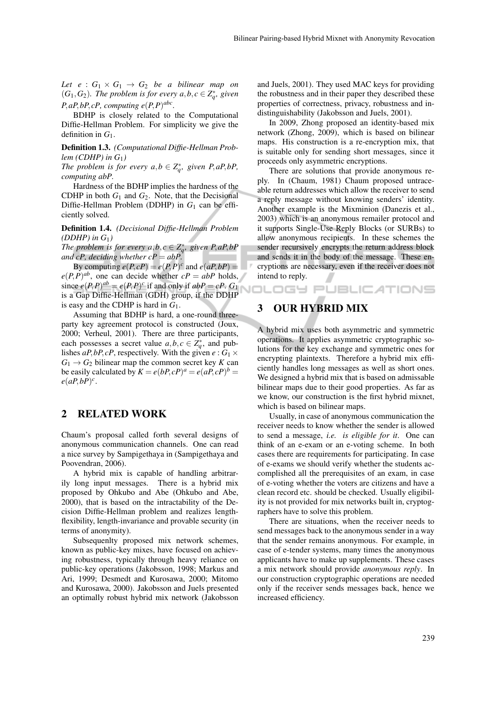*Let e* :  $G_1 \times G_1 \rightarrow G_2$  *be a bilinear map on*  $(G_1, G_2)$ *. The problem is for every a,b,c*  $\in \mathbb{Z}_q^*$ *, given P*, *aP*, *bP*, *cP*, *computing*  $e(P, P)^{abc}$ .

BDHP is closely related to the Computational Diffie-Hellman Problem. For simplicity we give the definition in *G*1.

Definition 1.3. *(Computational Diffie-Hellman Problem (CDHP) in G*1*)*

*The problem is for every*  $a, b \in \mathbb{Z}_q^*$ *, given*  $P, aP, bP$ *, computing abP.*

Hardness of the BDHP implies the hardness of the CDHP in both  $G_1$  and  $G_2$ . Note, that the Decisional Diffie-Hellman Problem (DDHP) in  $G_1$  can be efficiently solved.

Definition 1.4. *(Decisional Diffie-Hellman Problem (DDHP)* in  $G_1$ *)* 

*The problem is for every*  $a, b, c \in \mathbb{Z}_q^*$ *, given P,aP,bP and cP, deciding whether*  $cP = abP$ *.* 

By computing  $e(P, cP) = e(P, P)^c$  and  $e(aP, bP) =$  $e(P, P)^{ab}$ , one can decide whether  $cP = abP$  holds, since  $e(P, P)^{ab} = e(P, P)^c$  if and only if  $abP = cP$ .  $G_1$ is a Gap Diffie-Hellman (GDH) group, if the DDHP is easy and the CDHP is hard in *G*1.

Assuming that BDHP is hard, a one-round threeparty key agreement protocol is constructed (Joux, 2000; Verheul, 2001). There are three participants, each possesses a secret value  $a, b, c \in \overline{Z_q^*}$ , and publishes *aP*, *bP*, *cP*, respectively. With the given  $e: G_1 \times$  $G_1 \rightarrow G_2$  bilinear map the common secret key *K* can be easily calculated by  $K = e(bP, cP)^a = e(aP, cP)^b =$  $e(aP,bP)^c$ .

# 2 RELATED WORK

Chaum's proposal called forth several designs of anonymous communication channels. One can read a nice survey by Sampigethaya in (Sampigethaya and Poovendran, 2006).

A hybrid mix is capable of handling arbitrarily long input messages. There is a hybrid mix proposed by Ohkubo and Abe (Ohkubo and Abe, 2000), that is based on the intractability of the Decision Diffie-Hellman problem and realizes lengthflexibility, length-invariance and provable security (in terms of anonymity).

Subsequenlty proposed mix network schemes, known as public-key mixes, have focused on achieving robustness, typically through heavy reliance on public-key operations (Jakobsson, 1998; Markus and Ari, 1999; Desmedt and Kurosawa, 2000; Mitomo and Kurosawa, 2000). Jakobsson and Juels presented an optimally robust hybrid mix network (Jakobsson and Juels, 2001). They used MAC keys for providing the robustness and in their paper they described these properties of correctness, privacy, robustness and indistinguishability (Jakobsson and Juels, 2001).

In 2009, Zhong proposed an identity-based mix network (Zhong, 2009), which is based on bilinear maps. His construction is a re-encryption mix, that is suitable only for sending short messages, since it proceeds only asymmetric encryptions.

There are solutions that provide anonymous reply. In (Chaum, 1981) Chaum proposed untraceable return addresses which allow the receiver to send a reply message without knowing senders' identity. Another example is the Mixminion (Danezis et al., 2003) which is an anonymous remailer protocol and it supports Single-Use Reply Blocks (or SURBs) to allow anonymous recipients. In these schemes the sender recursively encrypts the return address block and sends it in the body of the message. These encryptions are necessary, even if the receiver does not intend to reply.

# 3 OUR HYBRID MIX

A hybrid mix uses both asymmetric and symmetric operations. It applies asymmetric cryptographic solutions for the key exchange and symmetric ones for encrypting plaintexts. Therefore a hybrid mix efficiently handles long messages as well as short ones. We designed a hybrid mix that is based on admissable bilinear maps due to their good properties. As far as we know, our construction is the first hybrid mixnet, which is based on bilinear maps.

Usually, in case of anonymous communication the receiver needs to know whether the sender is allowed to send a message, *i.e. is eligible for it*. One can think of an e-exam or an e-voting scheme. In both cases there are requirements for participating. In case of e-exams we should verify whether the students accomplished all the prerequisites of an exam, in case of e-voting whether the voters are citizens and have a clean record etc. should be checked. Usually eligibility is not provided for mix networks built in, cryptographers have to solve this problem.

There are situations, when the receiver needs to send messages back to the anonymous sender in a way that the sender remains anonymous. For example, in case of e-tender systems, many times the anonymous applicants have to make up supplements. These cases a mix network should provide *anonymous reply*. In our construction cryptographic operations are needed only if the receiver sends messages back, hence we increased efficiency.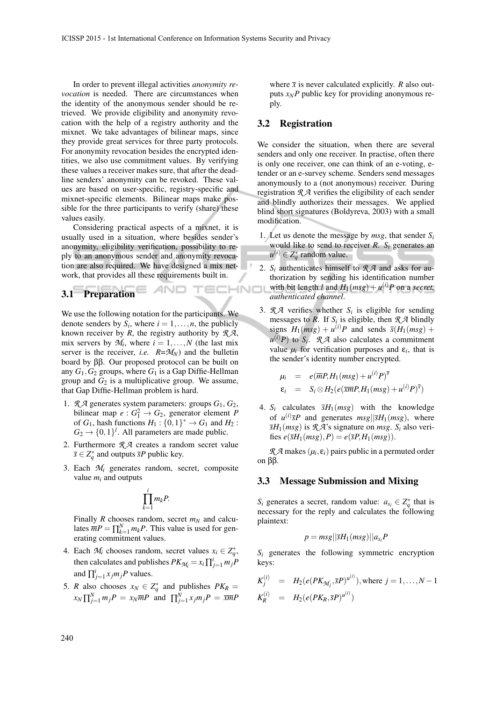In order to prevent illegal activities *anonymity revocation* is needed. There are circumstances when the identity of the anonymous sender should be retrieved. We provide eligibility and anonymity revocation with the help of a registry authority and the mixnet. We take advantages of bilinear maps, since they provide great services for three party protocols. For anonymity revocation besides the encrypted identities, we also use commitment values. By verifying these values a receiver makes sure, that after the deadline senders' anonymity can be revoked. These values are based on user-specific, registry-specific and mixnet-specific elements. Bilinear maps make possible for the three participants to verify (share) these values easily.

Considering practical aspects of a mixnet, it is usually used in a situation, where besides sender's anonymity, eligibility verification, possibility to reply to an anonymous sender and anonymity revocation are also required. We have designed a mix network, that provides all these requirements built in.

# 3.1 Preparation

We use the following notation for the participants. We denote senders by  $S_i$ , where  $i = 1, \ldots, n$ , the publicly known receiver by *R*, the registry authority by *R A*, mix servers by  $M_i$ , where  $i = 1, ..., N$  (the last mix server is the receiver, *i.e.*  $R = M_N$  and the bulletin board by ββ. Our proposed protocol can be built on any  $G_1$ ,  $G_2$  groups, where  $G_1$  is a Gap Diffie-Hellman group and  $G_2$  is a multiplicative group. We assume, that Gap Diffie-Hellman problem is hard.

- 1. *R A* generates system parameters: groups *G*1, *G*2, bilinear map  $e: G_1^2 \to G_2$ , generator element *P* of  $G_1$ , hash functions  $H_1: \{0,1\}^* \to G_1$  and  $H_2$ :  $G_2 \rightarrow \{0,1\}^l$ . All parameters are made public.
- 2. Furthermore *R A* creates a random secret value  $\overline{s} \in Z_q^*$  and outputs  $\overline{s}P$  public key.
- 3. Each *M<sup>i</sup>* generates random, secret, composite value  $m_i$  and outputs

$$
\prod_{k=1}^i m_k P.
$$

Finally *R* chooses random, secret  $m_N$  and calculates  $\overline{m}P = \prod_{k=1}^{N} m_k P$ . This value is used for generating commitment values.

- 4. Each  $\mathcal{M}_i$  chooses random, secret values  $x_i \in Z_q^*$ , then calculates and publishes  $PK_{\mathcal{M}_i} = x_i \prod_{j=1}^i m_j P$ and  $\prod_{j=1}^{i} x_j m_j P$  values.
- 5. *R* also chooses  $x_N \in Z_q^*$  and publishes  $PK_R =$  $x_N \prod_{j=1}^N m_j P = x_N \overline{m} P$  and  $\prod_{j=1}^N x_j m_j P = \overline{x} \overline{m} P$

where  $\bar{x}$  is never calculated explicitly. *R* also outputs *xNP* public key for providing anonymous reply.

#### 3.2 Registration

We consider the situation, when there are several senders and only one receiver. In practise, often there is only one receiver, one can think of an e-voting, etender or an e-survey scheme. Senders send messages anonymously to a (not anonymous) receiver. During registration *R A* verifies the eligibility of each sender and blindly authorizes their messages. We applied blind short signatures (Boldyreva, 2003) with a small modification.

- 1. Let us denote the message by *msg*, that sender *S<sup>i</sup>* would like to send to receiver *R*. *S<sup>i</sup>* generates an  $u^{(i)} \in Z_q^*$  random value.
- 2.  $S_i$  authenticates himself to  $R A$  and asks for authorization by sending his identification number with bit length *l* and  $H_1(msg) + u^{(i)}P$  on a *secret*, TECHNO *authenticated channel*.
	- 3.  $R A$  verifies whether  $S_i$  is eligible for sending messages to *R*. If  $S_i$  is eligible, then  $R A$  blindly signs  $H_1(msg) + u^{(i)}P$  and sends  $\bar{s}(H_1(msg) +$  $u^{(i)}P$  to  $S_i$ . *R A* also calculates a commitment value  $\mu_i$  for verification purposes and  $\varepsilon_i$ , that is the sender's identity number encrypted.

$$
\mu_i = e(\overline{m}P, H_1(msg) + u^{(i)}P)^{\overline{s}} \n\epsilon_i = S_i \otimes H_2(e(\overline{m}P, H_1(msg) + u^{(i)}P)^{\overline{s}})
$$

4.  $S_i$  calculates  $\bar{s}H_1(msg)$  with the knowledge of  $u^{(i)}\bar{s}P$  and generates  $msg||\bar{s}H_1(msg),$  where  $\overline{s}H_1(msg)$  is  $\mathcal{R}\mathcal{A}$ 's signature on *msg.*  $S_i$  also verifies  $e(\overline{s}H_1(msg), P) = e(\overline{s}P, H_1(msg)).$ 

 $\mathcal{R}\mathcal{A}$  makes  $(\mu_i, \varepsilon_i)$  pairs public in a permuted order on ββ.

#### 3.3 Message Submission and Mixing

*S*<sup>*i*</sup> generates a secret, random value:  $a_{s_i} \in Z_q^*$  that is necessary for the reply and calculates the following plaintext:

$$
p = msg||\overline{s}H_1(msg)||a_{s_i}P
$$

 $S_i$  generates the following symmetric encryption keys:

$$
K_j^{(i)} = H_2(e(PK_{\mathcal{M}_j}, \bar{s}P)^{u^{(i)}}), \text{where } j = 1, ..., N - 1
$$
  

$$
K_R^{(i)} = H_2(e(PK_R, \bar{s}P)^{u^{(i)}})
$$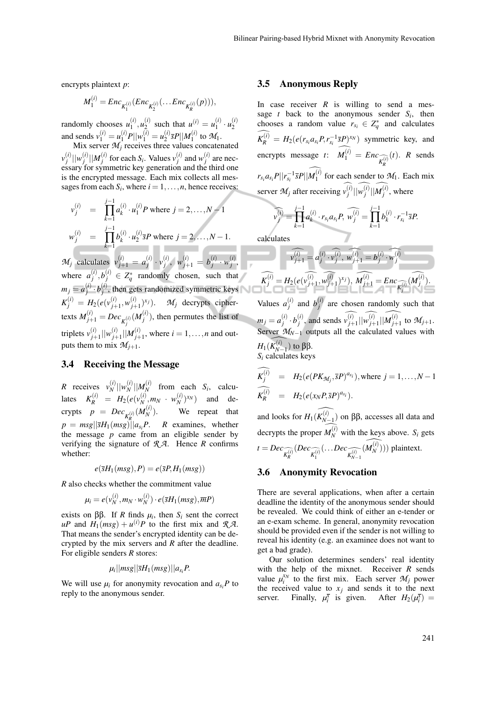encrypts plaintext *p*:

$$
M_1^{(i)} = Enc_{K_1^{(i)}}(Enc_{K_2^{(i)}}(...Enc_{K_R^{(i)}}(p))),
$$

randomly chooses  $u_1^{(i)}$  $\binom{(i)}{1}, \binom{(i)}{2}$  $u_1^{(i)}$  such that  $u_2^{(i)} = u_1^{(i)}$  $\frac{(i)}{1} \cdot u_2^{(i)}$ 2 and sends  $v_1^{(i)} = u_1^{(i)}P||w_1^{(i)} = u_2^{(i)}$  $\frac{\gamma^{(i)}}{2}$ 5 $P||M_1^{(i)}$  $\int_1^{(t)}$  to  $\mathcal{M}_1$ .

Mix server  $M_j$  receives three values concatenated  $v_i^{(i)}$  $\|y^{(i)}_j\|$  $\frac{(i)}{j}||M_j^{(i)}|$  $\binom{i}{j}$  for each *S*<sup>*i*</sup>. Values  $v_j^{(i)}$  $\binom{i}{j}$  and  $w_j^{(i)}$  $j^{(i)}$  are necessary for symmetric key generation and the third one is the encrypted message. Each mix collects all messages from each  $S_i$ , where  $i = 1, \ldots, n$ , hence receives:

$$
v_j^{(i)} = \prod_{k=1}^{j-1} a_k^{(i)} \cdot u_1^{(i)} P \text{ where } j = 2, ..., N-1
$$
  

$$
w_j^{(i)} = \prod_{k=1}^{j-1} b_k^{(i)} \cdot u_2^{(i)} \bar{s} P \text{ where } j = 2, ..., N-1.
$$

 $M_j$  calculates  $v_{j+1}^{(i)} = a_j^{(i)}$  $\frac{(i)}{j} \cdot \frac{v^{(i)}_j}{j}$  $y_j^{(i)}, w_{j+1}^{(i)} = b_j^{(i)}$  $\stackrel{(i)}{j}$   $\cdot$   $\stackrel{(i)}{w}$ *j* , where  $a_i^{(i)}$  $\mathbf{z}_j^{(i)}$ ,  $\mathbf{b}_j^{(i)} \in \mathbb{Z}_q^*$  randomly chosen, such that  $m_j = a_j^{(i)}$  $\stackrel{(i)}{j}\cdot b_{j}^{(i)}$  $j$ <sup>( $j$ </sup>), then gets randomized symmetric keys  $K_j^{(i)} = H_2(e(v_{j+1}^{(i)}))$  $\chi_{j+1}^{(i)}, w_{j+1}^{(i)}$  $\mathcal{M}_j$  decrypts ciphertexts  $M_{j+1}^{(i)} = Dec_{K_{j}^{(i)}}(M_{j}^{(i)})$  $j^{(t)}$ ), then permutes the list of triplets  $v_{i+1}^{(i)}$  $\|j+1\|w_{j+1}^{(i)}\|$  $\frac{(i)}{j+1}||M^{(i)}_{j+1}$  $j_{j+1}^{(i)}$ , where  $i = 1, \ldots, n$  and outputs them to mix  $\mathcal{M}_{j+1}$ .

## 3.4 Receiving the Message

*R* receives  $v_N^{(i)}$  $\frac{(i)}{N}$   $||w_N^{(i)}||$  $\frac{(i)}{N}$   $\mid$   $M_N^{(i)}$  $N^{(i)}$  from each  $S_i$ , calculates  $K_R^{(i)} = H_2(e(v_N^{(i)})$  $\binom{(i)}{N}, m_N \cdot w_N^{(i)}$  $\binom{n}{N}$ <sup>*x<sub>N</sub>*</sup>) and de- $\text{crypts} \quad p \; = \; Dec_{K_R^{(i)}}(M_N^{(i)})$  $p = msg||\bar{s}H_1(msg)||a_{s_i}P$ . *R* examines, whether  $\binom{N}{N}$ . We repeat that the message  $\vec{p}$  came from an eligible sender by verifying the signature of *R A*. Hence *R* confirms whether:

$$
e(\overline{s}H_1(msg), P) = e(\overline{s}P, H_1(msg))
$$

*R* also checks whether the commitment value

$$
\mu_i = e(v_N^{(i)}, m_N \cdot w_N^{(i)}) \cdot e(\overline{s}H_1(msg), \overline{m}P)
$$

exists on ββ. If *R* finds  $\mu_i$ , then  $S_i$  sent the correct  $\mu P$  and  $H_1(msg) + u^{(i)}P$  to the first mix and *R A*. That means the sender's encrypted identity can be decrypted by the mix servers and *R* after the deadline. For eligible senders *R* stores:

$$
\mu_i||msg||\bar{s}H_1(msg)||a_{s_i}P.
$$

We will use  $\mu_i$  for anonymity revocation and  $a_s$ *P* to reply to the anonymous sender.

#### 3.5 Anonymous Reply

In case receiver  $R$  is willing to send a message  $t$  back to the anonymous sender  $S_i$ , then chooses a random value  $r_{s_i} \in Z_q^*$  and calculates  $K_R^{(i)} = H_2(e(r_{s_i}a_{s_i}P, r_{s_i}^{-1}\overline{s}P)^{x_N})$  symmetric key, and encrypts message *t*:  $M_1^{(i)} = Enc_{\widehat{K_R^{(i)}}}$ (*t*). *R* sends  $r_{s_i}a_{s_i}P||r_{s_i}^{-1}\bar{s}P||M_1^{(i)}$  for each sender to  $\mathcal{M}_1$ . Each mix server  $M_j$  after receiving  $v_j^{(i)}$  $\int\limits_j^{(i)}||w_j^{(i)}||M_j^{(i)},$  where

$$
\widehat{v_j^{(i)}} = \prod_{k=1}^{j-1} a_k^{(i)} \cdot r_{s_i} a_{s_i} P, \widehat{w_j^{(i)}} = \prod_{k=1}^{j-1} b_k^{(i)} \cdot r_{s_i}^{-1} \overline{s} P.
$$

calculates

$$
\widehat{V_{j+1}^{(i)}} = a_j^{(i)} \cdot \widehat{V_j^{(i)}}, \widehat{W_{j+1}^{(i)}} = b_j^{(i)} \cdot \widehat{W_j^{(i)}}
$$
\n
$$
\widehat{K_j^{(i)}} = H_2(e(\widehat{V_{j+1}^{(i)}, W_{j+1}^{(i)}})^{x_j}), \widehat{M_{j+1}^{(i)}} = Enc_{\widehat{K_j^{(i)}}}(\widehat{M_j^{(i)}}).
$$
\nValues,  $c^{(i)}$  and  $b^{(i)}$  are chosen randomly, each that

Values  $a_i^{(i)}$  $\binom{i}{j}$  and  $\binom{j}{j}$  $j$ <sup>(*i*</sup>) are chosen randomly such that  $m_j = a_j^{(i)}$  $\stackrel{(i)}{j}\cdot\stackrel{(j)}{b_j}$  $\widehat{y}^{(i)}_j$ , and sends  $\widehat{v_{j+1}^{(i)}} || \widehat{w_{j+1}^{(i)}} || \widehat{M_{j+1}^{(i)}}$  to  $M_{j+1}$ . Server  $M_{N-1}$  outputs all the calculated values with *H*<sub>1</sub>( $\widehat{K_{N-1}^{(i)}}$ ) to ββ. *S<sup>i</sup>* calculates keys

$$
\widehat{K_j^{(i)}} = H_2(e(PK_{\mathcal{M}_j}, \bar{s}P)^{a_{s_i}}), \text{where } j = 1, \dots, N-1
$$

$$
\overbrace{K_R^{(i)}}^{\hspace{2cm}} = H_2(e(x_NP,\overline{s}P)^{a_{s_i}}).
$$

and looks for  $H_1(\widehat{K_{N-1}^{(i)}})$  on  $\beta\beta$ , accesses all data and decrypts the proper  $M_N^{(i)}$  with the keys above.  $S_i$  gets  $t = Dec \widehat{K_R^{(i)}}$   $(Dec \widehat{K_1^{(i)}})$  $\left(\ldots Dec \atop K_{N-1}^{(i)}\right)$  $(\widehat{M_N^{(i)}}))$ ) plaintext.

#### 3.6 Anonymity Revocation

There are several applications, when after a certain deadline the identity of the anonymous sender should be revealed. We could think of either an e-tender or an e-exam scheme. In general, anonymity revocation should be provided even if the sender is not willing to reveal his identity (e.g. an examinee does not want to get a bad grade).

Our solution determines senders' real identity with the help of the mixnet. Receiver *R* sends value  $\mu_i^{x_N}$  to the first mix. Each server  $\mathcal{M}_j$  power the received value to  $x_j$  and sends it to the next server. Finally,  $\mu_i^{\overline{x}}$  is given. After  $H_2(\mu_i^{\overline{x}})$  =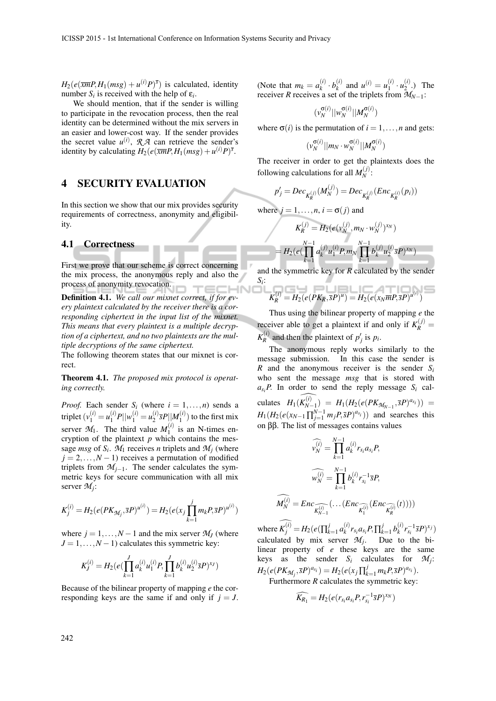$H_2(e(\overline{x}mP,H_1(msg)+u^{(i)}P)^{\overline{s}})$  is calculated, identity number  $S_i$  is received with the help of  $\varepsilon_i$ .

We should mention, that if the sender is willing to participate in the revocation process, then the real identity can be determined without the mix servers in an easier and lower-cost way. If the sender provides the secret value  $u^{(i)}$ ,  $R A$  can retrieve the sender's identity by calculating  $H_2(e(\overline{x}mP, H_1(msg) + u^{(i)}P)^{\overline{s}})$ .

## 4 SECURITY EVALUATION

In this section we show that our mix provides security requirements of correctness, anonymity and eligibility.

#### 4.1 Correctness

First we prove that our scheme is correct concerning the mix process, the anonymous reply and also the process of anonymity revocation.  $T = 0$ 

Definition 4.1. *We call our mixnet correct, if for every plaintext calculated by the receiver there is a corresponding ciphertext in the input list of the mixnet. This means that every plaintext is a multiple decryption of a ciphertext, and no two plaintexts are the multiple decryptions of the same ciphertext.*

The following theorem states that our mixnet is correct.

Theorem 4.1. *The proposed mix protocol is operating correctly.*

*Proof.* Each sender  $S_i$  (where  $i = 1, \ldots, n$ ) sends a triplet  $(v_1^{(i)} = u_1^{(i)}P||w_1^{(i)} = u_2^{(i)}$  $\frac{(i)}{2}\overline{s}P||M_{1}^{(i)}$  $1^{(1)}$  to the first mix server  $M_1$ . The third value  $M_1^{(i)}$  $1^{(1)}$  is an N-times encryption of the plaintext *p* which contains the message *msg* of  $S_i$ .  $M_1$  receives *n* triplets and  $M_j$  (where  $j = 2,..., N - 1$ ) receives a permutation of modified triplets from  $M_{j-1}$ . The sender calculates the symmetric keys for secure communication with all mix server *M<sup>j</sup>* :

$$
K_j^{(i)} = H_2(e(PK_{\mathcal{M}_j}, \bar{s}P)^{u^{(i)}}) = H_2(e(x_j \prod_{k=1}^j m_k P, \bar{s}P)^{u^{(i)}})
$$

where  $j = 1, ..., N - 1$  and the mix server  $M_J$  (where  $J = 1, \ldots, N - 1$ ) calculates this symmetric key:

$$
K_J^{(i)} = H_2(e(\prod_{k=1}^J a_k^{(i)} u_1^{(i)} P, \prod_{k=1}^J b_k^{(i)} u_2^{(i)} \overline{s} P)^{x_J})
$$

Because of the bilinear property of mapping *e* the corresponding keys are the same if and only if  $j = J$ . (Note that  $m_k = a_k^{(i)}$  $\frac{(i)}{k} \cdot b_k^{(i)}$  $u_k^{(i)}$  and  $u^{(i)} = u_1^{(i)}$  $u_1^{(i)} \cdot u_2^{(i)}$  $\binom{1}{2}$  The receiver *R* receives a set of the triplets from  $\mathcal{M}_{N-1}$ :

$$
(v_N^{\sigma(i)}||w_N^{\sigma(i)}||M_N^{\sigma(i)})
$$

where  $\sigma(i)$  is the permutation of  $i = 1, \ldots, n$  and gets:

$$
(v_N^{\sigma(i)}||m_N \cdot w_N^{\sigma(i)}||M_N^{\sigma(i)})
$$

The receiver in order to get the plaintexts does the following calculations for all  $M_N^{(j)}$ *N* :

$$
p'_{j} = Dec_{K_{R}^{(j)}}(M_{N}^{(j)}) = Dec_{K_{R}^{(j)}}(Enc_{K_{R}^{(i)}}(p_{i}))
$$

where  $j = 1, \ldots, n$ ,  $i = \sigma(j)$  and

$$
K_R^{(j)} = H_2(e(v_N^{(j)}, m_N \cdot w_N^{(j)})^{x_N})
$$
  
= 
$$
H_2(e(\prod_{k=1}^{N-1} a_k^{(j)} u_1^{(i)} P, m_N \prod_{k=1}^{N-1} b_k^{(j)} u_2^{(i)} \overline{s} P)^{x_N})
$$

and the symmetric key for *R* calculated by the sender *Si* :

$$
K_R^{(i)} = H_2(e(PK_R, \bar{s}P)^u) = H_2(e(x_N\overline{m}P, \bar{s}P)^{u^{(i)}})
$$

Thus using the bilinear property of mapping *e* the receiver able to get a plaintext if and only if  $K_R^{(j)}$  =  $K_R^{(i)}$  $P_R^{(i)}$  and then the plaintext of  $p'_j$  is  $p_i$ .

The anonymous reply works similarly to the message submission. In this case the sender is *R* and the anonymous receiver is the sender *S<sup>i</sup>* who sent the message *msg* that is stored with  $a_s$ *P*. In order to send the reply message  $S_i$  calculates  $H_1(\widehat{K_{N-1}^{(i)}}) = H_1(H_2(e(PK_{M_{N-1}}, \bar{s}P)^{a_{s_i}})) =$  $H_1(H_2(e(x_{N-1} \prod_{j=1}^{N-1} m_j P_{\bar{s}} P)^{a_{s_i}}))$  and searches this on ββ. The list of messages contains values

$$
\widehat{v_N^{(i)}} = \prod_{k=1}^{N-1} a_k^{(i)} r_{s_i} a_{s_i} P,
$$
\n
$$
\widehat{w_N^{(i)}} = \prod_{k=1}^{N-1} b_k^{(i)} r_{s_i}^{-1} \overline{s} P,
$$
\n
$$
\widehat{M_N^{(i)}} = Enc_{\widehat{K_{N-1}^{(i)}}} (... (Enc_{\widehat{K_1^{(i)}}} (Enc_{\widehat{K_R^{(i)}}} (t))))
$$

where  $K_j^{(i)} = H_2(e(\prod_k^j$  $\sum_{k=1}^{j} a_k^{(i)}$  $\prod_k^{(i)} r_{s_i}a_{s_i}P, \prod_k^{j}$  $\sum_{k=1}^{j} b_k^{(i)}$  $r_k^{(i)} r_{s_i}^{-1} \bar{s} P)^{x_j}$ calculated by mix server  $M_j$ . Due to the bilinear property of *e* these keys are the same keys as the sender  $S_i$  calculates for  $M_j$ :  $H_2(e(PK_{\mathcal{M}_j}, \overline{s}P)^{a_{s_i}}) = H_2(e(x_j\prod_{k=1}^j m_kP_{\overline{s}}P)^{a_{s_i}}).$ Furthermore *R* calculates the symmetric key:

$$
\widehat{K_{R_1}}=H_2(e(r_{s_i}a_{s_i}P,r_{s_i}^{-1}\overline{s}P)^{x_N})
$$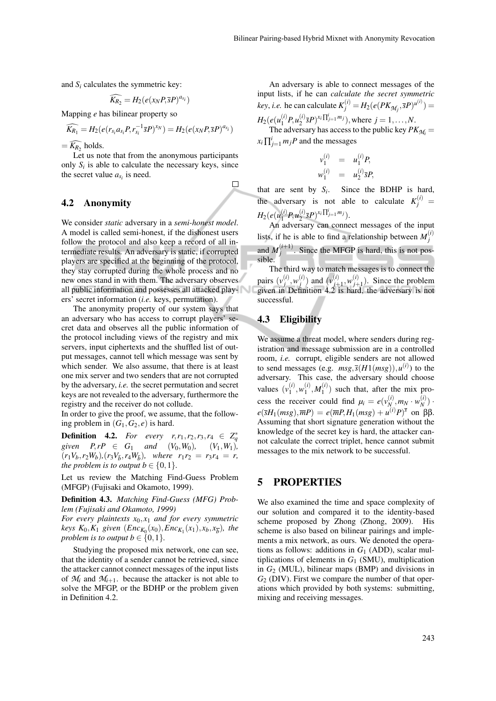and  $S_i$  calculates the symmetric key:

$$
\widehat{K_{R_2}}=H_2(e(x_NP,\overline{s}P)^{a_{s_i}})
$$

Mapping *e* has bilinear property so

$$
\widehat{K_{R_1}} = H_2(e(r_{s_i}a_{s_i}P, r_{s_i}^{-1}\overline{s}P)^{x_N}) = H_2(e(x_NP, \overline{s}P)^{a_{s_i}})
$$

 $= K_{R_2}$  holds.

Let us note that from the anonymous participants only  $S_i$  is able to calculate the necessary keys, since the secret value  $a_{s_i}$  is need.

## 4.2 Anonymity

We consider *static* adversary in a *semi-honest model*. A model is called semi-honest, if the dishonest users follow the protocol and also keep a record of all intermediate results. An adversary is static, if corrupted players are specified at the beginning of the protocol, they stay corrupted during the whole process and no new ones stand in with them. The adversary observes all public information and possesses all attacked players' secret information (*i.e.* keys, permutation).

The anonymity property of our system says that an adversary who has access to corrupt players' secret data and observes all the public information of the protocol including views of the registry and mix servers, input ciphertexts and the shuffled list of output messages, cannot tell which message was sent by which sender. We also assume, that there is at least one mix server and two senders that are not corrupted by the adversary, *i.e.* the secret permutation and secret keys are not revealed to the adversary, furthermore the registry and the receiver do not collude.

In order to give the proof, we assume, that the following problem in  $(G_1, G_2, e)$  is hard.

**Definition** 4.2. *For every r,r*<sub>1</sub>,*r*<sub>2</sub>,*r*<sub>3</sub>,*r*<sub>4</sub> ∈  $Z_q^*$  $given \quad P, rP \in G_1 \quad and \quad (V_0, W_0), \quad (V_1, W_1)$ ,  $(r_1V_b, r_2W_b)$ ,  $(r_3V_{\bar{b}}, r_4W_{\bar{b}})$ , where  $r_1r_2 = r_3r_4 = r$ , *the problem is to output b*  $\in \{0,1\}$ *.* 

Let us review the Matching Find-Guess Problem (MFGP) (Fujisaki and Okamoto, 1999).

Definition 4.3. *Matching Find-Guess (MFG) Problem (Fujisaki and Okamoto, 1999)*

*For every plaintexts x*0, *x*<sup>1</sup> *and for every symmetric*  $k$ *eys*  $K_0, K_1$  *given*  $(Enc_{K_0}(x_0), Enc_{K_1}(x_1), x_b, x_b)$ *, the problem is to output b*  $\in \{0,1\}$ *.* 

Studying the proposed mix network, one can see, that the identity of a sender cannot be retrieved, since the attacker cannot connect messages of the input lists of  $M_i$  and  $M_{i+1}$ . because the attacker is not able to solve the MFGP, or the BDHP or the problem given in Definition 4.2.

An adversary is able to connect messages of the input lists, if he can *calculate the secret symmetric*  $\mathcal{R}$ , *key*, *i.e.* he can calculate  $K_j^{(i)} = H_2(e(\mathit{PK}_{\mathcal{M}_j}, \overline{s}P)^{u^{(i)}}) =$  $H_2(e(u_1^{(i)}P, u_2^{(i)})$  $\sum_{i=1}^{(i)} ({}^{j}S P)^{x_i} \prod_{j=1}^{i} {}^{m_j}$ , where  $j = 1, ..., N$ . The adversary has access to the public key  $PK_{\mathcal{M}_i} =$ 

 $x_i \prod_{j=1}^i m_j P$  and the messages

$$
v_1^{(i)} = u_1^{(i)} P,
$$
  

$$
w_1^{(i)} = u_2^{(i)} \bar{s} P,
$$

that are sent by  $S_i$ . Since the BDHP is hard, the adversary is not able to calculate  $K_j^{(i)}$  =  $H_2(e(u_1^{(i)}P, u_2^{(i)})$  $\frac{(i)}{2} \overline{s} P)^{x_i \prod_{j=1}^i m_j}$ .

An adversary can connect messages of the input lists, if he is able to find a relationship between  $M_i^{(i)}$ *j* and  $M_i^{(i+1)}$  $j^{(t+1)}$ . Since the MFGP is hard, this is not possible.

The third way to match messages is to connect the pairs  $(v_i^{(i)})$  $\binom{i}{j},\binom{j}{j}$  $j^{(i)}$ ) and  $(v_{j+}^{(i)})$  $\begin{array}{c} (i)\ \hline j+1\end{array},w_{j+1}^{(i)}$  $j_{+1}^{(t)}$ ). Since the problem given in Definition 4.2 is hard, the adversary is not successful.

## 4.3 Eligibility

 $\Box$ 

We assume a threat model, where senders during registration and message submission are in a controlled room, *i.e.* corrupt, eligible senders are not allowed to send messages (e.g.  $msg, \bar{s}(H1(msg)), u^{(i)})$  to the adversary. This case, the adversary should choose values  $(v_1^{(i)})$  $\binom{(i)}{1}, \mathcal{W}_1^{(i)}$  $\binom{(i)}{1},M_1^{(i)}$  $1^{(1)}$ ) such that, after the mix process the receiver could find  $\mu_i = e(v_N^{(i)})$  $w_N^{(i)}, m_N \cdot w_N^{(i)}$  $\binom{U}{N}$ . *e*( $\bar{s}H_1(msg), \bar{m}P$ ) = *e*( $\bar{m}P, H_1(msg) + u^{(i)}P)^{\bar{s}}$  on ββ. Assuming that short signature generation without the knowledge of the secret key is hard, the attacker cannot calculate the correct triplet, hence cannot submit messages to the mix network to be successful.

## 5 PROPERTIES

We also examined the time and space complexity of our solution and compared it to the identity-based scheme proposed by Zhong (Zhong, 2009). His scheme is also based on bilinear pairings and implements a mix network, as ours. We denoted the operations as follows: additions in *G*<sup>1</sup> (ADD), scalar multiplications of elements in *G*<sup>1</sup> (SMU), multiplication in *G*<sup>2</sup> (MUL), bilinear maps (BMP) and divisions in  $G_2$  (DIV). First we compare the number of that operations which provided by both systems: submitting, mixing and receiving messages.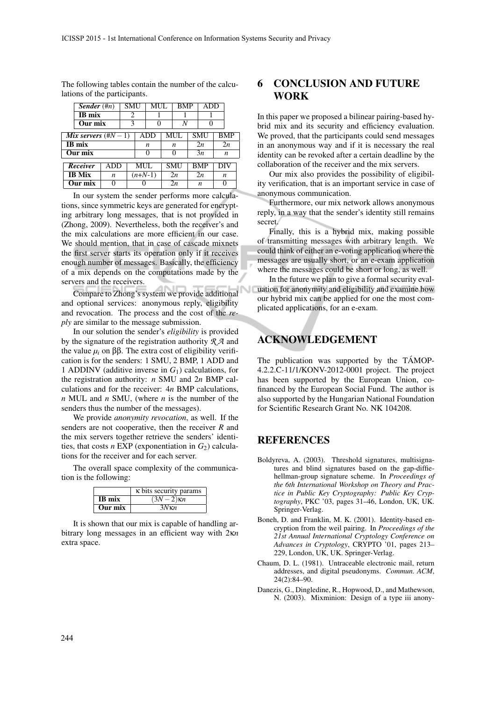The following tables contain the number of the calculations of the participants.

|                       | $\overline{Sender}(\#n)$ |  | SMU       |      | MUL |            | BMP |            | ADD |                  |  |
|-----------------------|--------------------------|--|-----------|------|-----|------------|-----|------------|-----|------------------|--|
|                       | <b>IB</b> mix            |  | 2         |      |     |            |     |            |     |                  |  |
|                       | Our mix                  |  | 3         |      |     |            |     | Ν          |     |                  |  |
| Mix servers $(\#N-1)$ |                          |  |           |      | ADD |            | MUL |            | SMU | <b>BMP</b>       |  |
| <b>IB</b> mix         |                          |  |           | n    |     | n          |     | 2n         |     | 2n               |  |
| Our $m\bar{x}$        |                          |  |           |      |     | 0          |     | 3n         |     | $\boldsymbol{n}$ |  |
|                       |                          |  |           |      |     |            |     |            |     |                  |  |
|                       | Receiver<br>ADD          |  |           | MUL. |     | <b>SMU</b> |     | <b>BMP</b> |     | DIV              |  |
|                       | <b>IB</b> Mix<br>n       |  | $(n+N-1)$ |      | 2n  |            | 2n  |            |     | n                |  |
|                       | Our mix<br>O             |  |           |      |     | 2n         |     | n          |     |                  |  |

In our system the sender performs more calculations, since symmetric keys are generated for encrypting arbitrary long messages, that is not provided in (Zhong, 2009). Nevertheless, both the receiver's and the mix calculations are more efficient in our case. We should mention, that in case of cascade mixnets the first server starts its operation only if it receives enough number of messages. Basically, the efficiency of a mix depends on the computations made by the servers and the receivers.

Compare to Zhong's system we provide additional and optional services: anonymous reply, eligibility and revocation. The process and the cost of the *reply* are similar to the message submission.

In our solution the sender's *eligibility* is provided by the signature of the registration authority *R A* and the value  $\mu$ <sup>*i*</sup> on ββ. The extra cost of eligibility verification is for the senders: 1 SMU, 2 BMP, 1 ADD and 1 ADDINV (additive inverse in *G*1) calculations, for the registration authority: *n* SMU and 2*n* BMP calculations and for the receiver: 4*n* BMP calculations, *n* MUL and *n* SMU, (where *n* is the number of the senders thus the number of the messages).

We provide *anonymity revocation*, as well. If the senders are not cooperative, then the receiver *R* and the mix servers together retrieve the senders' identities, that costs *n* EXP (exponentiation in  $G<sub>2</sub>$ ) calculations for the receiver and for each server.

The overall space complexity of the communication is the following:

|               | κ bits security params |
|---------------|------------------------|
| <b>IB</b> mix | $(3N-2)\kappa n$       |
| Our mix       | 3N <sub>Kn</sub>       |

It is shown that our mix is capable of handling arbitrary long messages in an efficient way with 2κ*n* extra space.

# 6 CONCLUSION AND FUTURE WORK

In this paper we proposed a bilinear pairing-based hybrid mix and its security and efficiency evaluation. We proved, that the participants could send messages in an anonymous way and if it is necessary the real identity can be revoked after a certain deadline by the collaboration of the receiver and the mix servers.

Our mix also provides the possibility of eligibility verification, that is an important service in case of anonymous communication.

Furthermore, our mix network allows anonymous reply, in a way that the sender's identity still remains secret.

Finally, this is a hybrid mix, making possible of transmitting messages with arbitrary length. We could think of either an e-voting application where the messages are usually short, or an e-exam application where the messages could be short or long, as well.

In the future we plan to give a formal security evaluation for anonymity and eligibility and examine how our hybrid mix can be applied for one the most complicated applications, for an e-exam.

# ACKNOWLEDGEMENT

The publication was supported by the TAMOP-4.2.2.C-11/1/KONV-2012-0001 project. The project has been supported by the European Union, cofinanced by the European Social Fund. The author is also supported by the Hungarian National Foundation for Scientific Research Grant No. NK 104208.

## REFERENCES

- Boldyreva, A. (2003). Threshold signatures, multisignatures and blind signatures based on the gap-diffiehellman-group signature scheme. In *Proceedings of the 6th International Workshop on Theory and Practice in Public Key Cryptography: Public Key Cryptography*, PKC '03, pages 31–46, London, UK, UK. Springer-Verlag.
- Boneh, D. and Franklin, M. K. (2001). Identity-based encryption from the weil pairing. In *Proceedings of the 21st Annual International Cryptology Conference on Advances in Cryptology*, CRYPTO '01, pages 213– 229, London, UK, UK. Springer-Verlag.
- Chaum, D. L. (1981). Untraceable electronic mail, return addresses, and digital pseudonyms. *Commun. ACM*, 24(2):84–90.
- Danezis, G., Dingledine, R., Hopwood, D., and Mathewson, N. (2003). Mixminion: Design of a type iii anony-